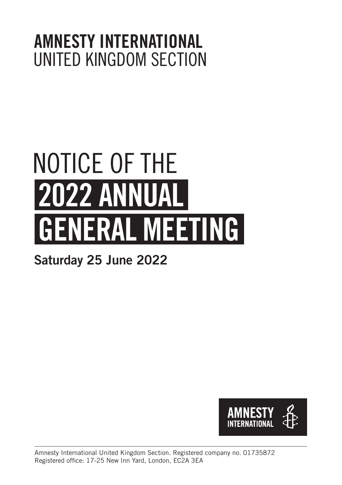### AMNESTY INTERNATIONAL UNITED KINGDOM SECTION

# 2022 ANNUAL GENERAL MEETING NOTICE OF THE

### Saturday 25 June 2022

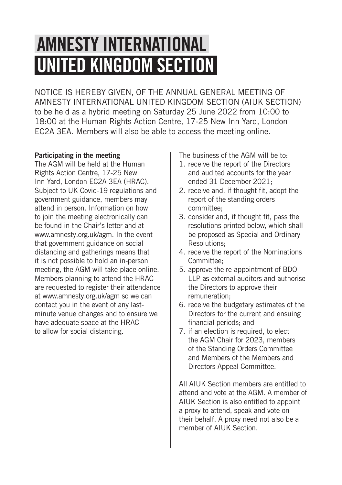# AMNESTY INTERNATIONAL UNITED KINGDOM SECTION

NOTICE IS HEREBY GIVEN, OF THE ANNUAL GENERAL MEETING OF AMNESTY INTERNATIONAL UNITED KINGDOM SECTION (AIUK SECTION) to be held as a hybrid meeting on Saturday 25 June 2022 from 10:00 to 18:00 at the Human Rights Action Centre, 17-25 New Inn Yard, London EC2A 3EA. Members will also be able to access the meeting online.

#### Participating in the meeting

The AGM will be held at the Human Rights Action Centre, 17-25 New Inn Yard, London EC2A 3EA (HRAC). Subject to UK Covid-19 regulations and government guidance, members may attend in person. Information on how to join the meeting electronically can be found in the Chair's letter and at www.amnesty.org.uk/agm. In the event that government guidance on social distancing and gatherings means that it is not possible to hold an in-person meeting, the AGM will take place online. Members planning to attend the HRAC are requested to register their attendance at www.amnesty.org.uk/agm so we can contact you in the event of any lastminute venue changes and to ensure we have adequate space at the HRAC to allow for social distancing.

The business of the AGM will be to:

- 1. receive the report of the Directors and audited accounts for the year ended 31 December 2021;
- 2. receive and, if thought fit, adopt the report of the standing orders committee;
- 3. consider and, if thought fit, pass the resolutions printed below, which shall be proposed as Special and Ordinary Resolutions;
- 4. receive the report of the Nominations Committee;
- 5. approve the re-appointment of BDO LLP as external auditors and authorise the Directors to approve their remuneration;
- 6. receive the budgetary estimates of the Directors for the current and ensuing financial periods; and
- 7. if an election is required, to elect the AGM Chair for 2023, members of the Standing Orders Committee and Members of the Members and Directors Appeal Committee.

All AIUK Section members are entitled to attend and vote at the AGM. A member of AIUK Section is also entitled to appoint a proxy to attend, speak and vote on their behalf. A proxy need not also be a member of AIUK Section.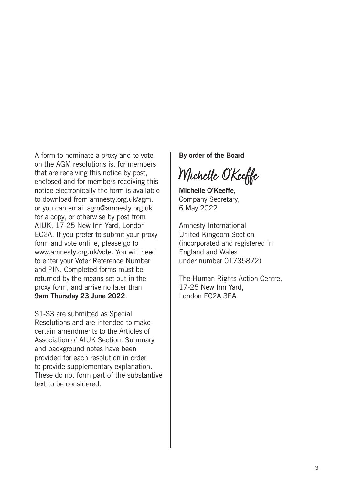A form to nominate a proxy and to vote on the AGM resolutions is, for members that are receiving this notice by post, enclosed and for members receiving this notice electronically the form is available to download from amnesty.org.uk/agm, or you can email agm@amnesty.org.uk for a copy, or otherwise by post from AIUK, 17-25 New Inn Yard, London EC2A. If you prefer to submit your proxy form and vote online, please go to www.amnesty.org.uk/vote. You will need to enter your Voter Reference Number and PIN. Completed forms must be returned by the means set out in the proxy form, and arrive no later than 9am Thursday 23 June 2022.

S1-S3 are submitted as Special Resolutions and are intended to make certain amendments to the Articles of Association of AIUK Section. Summary and background notes have been provided for each resolution in order to provide supplementary explanation. These do not form part of the substantive text to be considered.

By order of the Board

Michelle O'Keeffe

Michelle O'Keeffe, Company Secretary, 6 May 2022

Amnesty International United Kingdom Section (incorporated and registered in England and Wales under number 01735872)

The Human Rights Action Centre, 17-25 New Inn Yard, London EC2A 3EA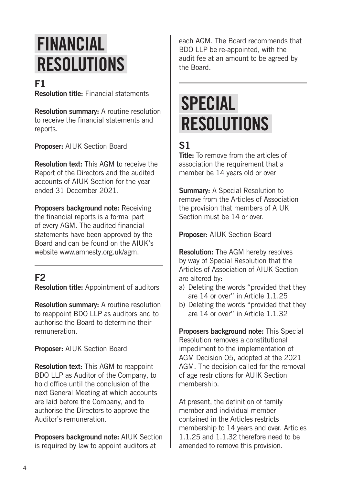## FINANCIAL RESOLUTIONS

#### F1

Resolution title: Financial statements

Resolution summary: A routine resolution to receive the financial statements and reports.

Proposer: AIUK Section Board

Resolution text: This AGM to receive the Report of the Directors and the audited accounts of AIUK Section for the year ended 31 December 2021.

Proposers background note: Receiving the financial reports is a formal part of every AGM. The audited financial statements have been approved by the Board and can be found on the AIUK's website www.amnesty.org.uk/agm.

#### F<sub>2</sub>

Resolution title: Appointment of auditors

Resolution summary: A routine resolution to reappoint BDO LLP as auditors and to authorise the Board to determine their remuneration.

Proposer: AIUK Section Board

Resolution text: This AGM to reappoint BDO LLP as Auditor of the Company, to hold office until the conclusion of the next General Meeting at which accounts are laid before the Company, and to authorise the Directors to approve the Auditor's remuneration.

Proposers background note: AIUK Section is required by law to appoint auditors at

each AGM. The Board recommends that BDO LLP be re-appointed, with the audit fee at an amount to be agreed by the Board.

### SPECIAL **RESOLUTIONS**

### S1

Title: To remove from the articles of association the requirement that a member be 14 years old or over

Summary: A Special Resolution to remove from the Articles of Association the provision that members of AIUK Section must be 14 or over

Proposer: AIUK Section Board

Resolution: The AGM hereby resolves by way of Special Resolution that the Articles of Association of AIUK Section are altered by:

- a) Deleting the words "provided that they are 14 or over" in Article 1.1.25
- b) Deleting the words "provided that they are 14 or over" in Article 1.1.32

Proposers background note: This Special Resolution removes a constitutional impediment to the implementation of AGM Decision O5, adopted at the 2021 AGM. The decision called for the removal of age restrictions for AUIK Section membership.

At present, the definition of family member and individual member contained in the Articles restricts membership to 14 years and over. Articles 1.1.25 and 1.1.32 therefore need to be amended to remove this provision.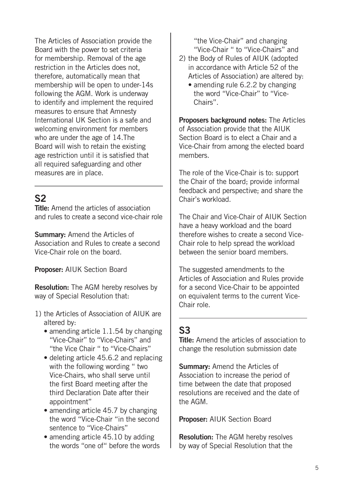The Articles of Association provide the Board with the power to set criteria for membership. Removal of the age restriction in the Articles does not, therefore, automatically mean that membership will be open to under-14s following the AGM. Work is underway to identify and implement the required measures to ensure that Amnesty International UK Section is a safe and welcoming environment for members who are under the age of 14.The Board will wish to retain the existing age restriction until it is satisfied that all required safeguarding and other measures are in place.

#### $S<sub>2</sub>$

Title: Amend the articles of association and rules to create a second vice-chair role

Summary: Amend the Articles of Association and Rules to create a second Vice-Chair role on the board.

Proposer: AIUK Section Board

Resolution: The AGM hereby resolves by way of Special Resolution that:

- 1) the Articles of Association of AIUK are altered by:
	- amending article 1.1.54 by changing "Vice-Chair" to "Vice-Chairs" and "the Vice Chair " to "Vice-Chairs"
	- deleting article 45.6.2 and replacing with the following wording " two Vice-Chairs, who shall serve until the first Board meeting after the third Declaration Date after their appointment"
	- amending article 45.7 by changing the word "Vice-Chair "in the second sentence to "Vice-Chairs"
	- amending article 45.10 by adding the words "one of" before the words

"the Vice-Chair" and changing "Vice-Chair " to "Vice-Chairs" and

- 2) the Body of Rules of AIUK (adopted in accordance with Article 52 of the Articles of Association) are altered by:
	- amending rule 6.2.2 by changing the word "Vice-Chair" to "Vice-Chairs".

Proposers background notes: The Articles of Association provide that the AIUK Section Board is to elect a Chair and a Vice-Chair from among the elected board members.

The role of the Vice-Chair is to: support the Chair of the board; provide informal feedback and perspective; and share the Chair's workload.

The Chair and Vice-Chair of AIUK Section have a heavy workload and the board therefore wishes to create a second Vice-Chair role to help spread the workload between the senior board members.

The suggested amendments to the Articles of Association and Rules provide for a second Vice-Chair to be appointed on equivalent terms to the current Vice-Chair role.

#### S3

Title: Amend the articles of association to change the resolution submission date

Summary: Amend the Articles of Association to increase the period of time between the date that proposed resolutions are received and the date of the AGM.

Proposer: AIUK Section Board

Resolution: The AGM hereby resolves by way of Special Resolution that the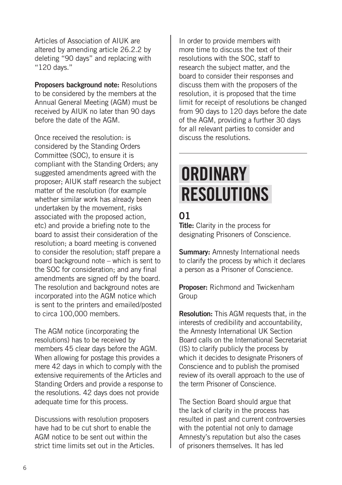Articles of Association of AIUK are altered by amending article 26.2.2 by deleting "90 days" and replacing with "120 days."

Proposers background note: Resolutions to be considered by the members at the Annual General Meeting (AGM) must be received by AIUK no later than 90 days before the date of the AGM.

Once received the resolution: is considered by the Standing Orders Committee (SOC), to ensure it is compliant with the Standing Orders; any suggested amendments agreed with the proposer; AIUK staff research the subject matter of the resolution (for example whether similar work has already been undertaken by the movement, risks associated with the proposed action, etc) and provide a briefing note to the board to assist their consideration of the resolution; a board meeting is convened to consider the resolution; staff prepare a board background note – which is sent to the SOC for consideration; and any final amendments are signed off by the board. The resolution and background notes are incorporated into the AGM notice which is sent to the printers and emailed/posted to circa 100,000 members.

The AGM notice (incorporating the resolutions) has to be received by members 45 clear days before the AGM. When allowing for postage this provides a mere 42 days in which to comply with the extensive requirements of the Articles and Standing Orders and provide a response to the resolutions. 42 days does not provide adequate time for this process.

Discussions with resolution proposers have had to be cut short to enable the AGM notice to be sent out within the strict time limits set out in the Articles. In order to provide members with more time to discuss the text of their resolutions with the SOC, staff to research the subject matter, and the board to consider their responses and discuss them with the proposers of the resolution, it is proposed that the time limit for receipt of resolutions be changed from 90 days to 120 days before the date of the AGM, providing a further 30 days for all relevant parties to consider and discuss the resolutions.

# **ORDINARY RESOLUTIONS**

### 01

Title: Clarity in the process for designating Prisoners of Conscience.

**Summary: Amnesty International needs** to clarify the process by which it declares a person as a Prisoner of Conscience.

Proposer: Richmond and Twickenham Group

**Resolution:** This AGM requests that, in the interests of credibility and accountability, the Amnesty International UK Section Board calls on the International Secretariat (IS) to clarify publicly the process by which it decides to designate Prisoners of Conscience and to publish the promised review of its overall approach to the use of the term Prisoner of Conscience.

The Section Board should argue that the lack of clarity in the process has resulted in past and current controversies with the potential not only to damage Amnesty's reputation but also the cases of prisoners themselves. It has led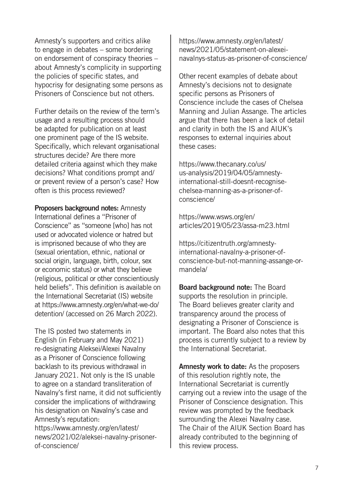Amnesty's supporters and critics alike to engage in debates – some bordering on endorsement of conspiracy theories – about Amnesty's complicity in supporting the policies of specific states, and hypocrisy for designating some persons as Prisoners of Conscience but not others.

Further details on the review of the term's usage and a resulting process should be adapted for publication on at least one prominent page of the IS website. Specifically, which relevant organisational structures decide? Are there more detailed criteria against which they make decisions? What conditions prompt and/ or prevent review of a person's case? How often is this process reviewed?

Proposers background notes: Amnesty International defines a "Prisoner of Conscience" as "someone [who] has not used or advocated violence or hatred but is imprisoned because of who they are (sexual orientation, ethnic, national or social origin, language, birth, colour, sex or economic status) or what they believe (religious, political or other conscientiously held beliefs". This definition is available on the International Secretariat (IS) website at https://www.amnesty.org/en/what-we-do/ detention/ (accessed on 26 March 2022).

The IS posted two statements in English (in February and May 2021) re-designating Aleksei/Alexei Navalny as a Prisoner of Conscience following backlash to its previous withdrawal in January 2021. Not only is the IS unable to agree on a standard transliteration of Navalny's first name, it did not sufficiently consider the implications of withdrawing his designation on Navalny's case and Amnesty's reputation:

https://www.amnesty.org/en/latest/ news/2021/02/aleksei-navalny-prisonerof-conscience/

https://www.amnesty.org/en/latest/ news/2021/05/statement-on-alexeinavalnys-status-as-prisoner-of-conscience/

Other recent examples of debate about Amnesty's decisions not to designate specific persons as Prisoners of Conscience include the cases of Chelsea Manning and Julian Assange. The articles argue that there has been a lack of detail and clarity in both the IS and AIUK's responses to external inquiries about these cases:

https://www.thecanary.co/us/ us-analysis/2019/04/05/amnestyinternational-still-doesnt-recognisechelsea-manning-as-a-prisoner-ofconscience/

https://www.wsws.org/en/ articles/2019/05/23/assa-m23.html

https://citizentruth.org/amnestyinternational-navalny-a-prisoner-ofconscience-but-not-manning-assange-ormandela/

Board background note: The Board supports the resolution in principle. The Board believes greater clarity and transparency around the process of designating a Prisoner of Conscience is important. The Board also notes that this process is currently subject to a review by the International Secretariat.

Amnesty work to date: As the proposers of this resolution rightly note, the International Secretariat is currently carrying out a review into the usage of the Prisoner of Conscience designation. This review was prompted by the feedback surrounding the Alexei Navalny case. The Chair of the AIUK Section Board has already contributed to the beginning of this review process.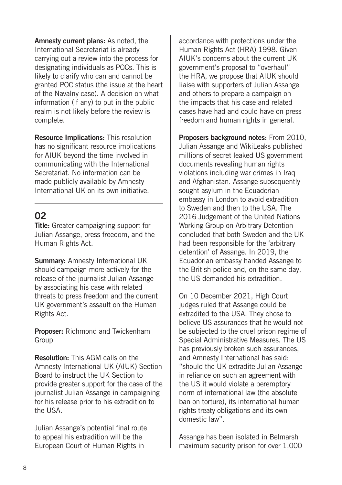Amnesty current plans: As noted, the International Secretariat is already carrying out a review into the process for designating individuals as POCs. This is likely to clarify who can and cannot be granted POC status (the issue at the heart of the Navalny case). A decision on what information (if any) to put in the public realm is not likely before the review is complete.

Resource Implications: This resolution has no significant resource implications for AIUK beyond the time involved in communicating with the International Secretariat. No information can be made publicly available by Amnesty International UK on its own initiative.

#### 02

Title: Greater campaigning support for Julian Assange, press freedom, and the Human Rights Act.

Summary: Amnesty International UK should campaign more actively for the release of the journalist Julian Assange by associating his case with related threats to press freedom and the current UK government's assault on the Human Rights Act.

Proposer: Richmond and Twickenham Group

Resolution: This AGM calls on the Amnesty International UK (AIUK) Section Board to instruct the UK Section to provide greater support for the case of the journalist Julian Assange in campaigning for his release prior to his extradition to the USA.

Julian Assange's potential final route to appeal his extradition will be the European Court of Human Rights in

accordance with protections under the Human Rights Act (HRA) 1998. Given AIUK's concerns about the current UK government's proposal to "overhaul" the HRA, we propose that AIUK should liaise with supporters of Julian Assange and others to prepare a campaign on the impacts that his case and related cases have had and could have on press freedom and human rights in general.

Proposers background notes: From 2010. Julian Assange and WikiLeaks published millions of secret leaked US government documents revealing human rights violations including war crimes in Iraq and Afghanistan. Assange subsequently sought asylum in the Ecuadorian embassy in London to avoid extradition to Sweden and then to the USA. The 2016 Judgement of the United Nations Working Group on Arbitrary Detention concluded that both Sweden and the UK had been responsible for the 'arbitrary detention' of Assange. In 2019, the Ecuadorian embassy handed Assange to the British police and, on the same day, the US demanded his extradition.

On 10 December 2021, High Court judges ruled that Assange could be extradited to the USA. They chose to believe US assurances that he would not be subjected to the cruel prison regime of Special Administrative Measures. The US has previously broken such assurances, and Amnesty International has said: "should the UK extradite Julian Assange in reliance on such an agreement with the US it would violate a peremptory norm of international law (the absolute ban on torture), its international human rights treaty obligations and its own domestic law".

Assange has been isolated in Belmarsh maximum security prison for over 1,000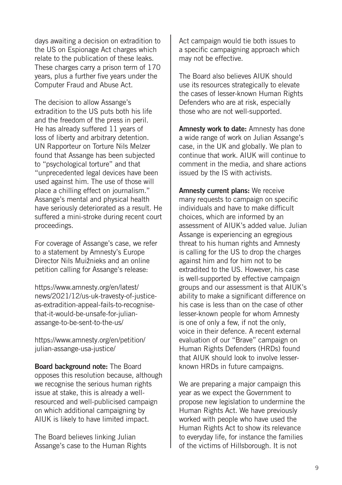days awaiting a decision on extradition to the US on Espionage Act charges which relate to the publication of these leaks. These charges carry a prison term of 170 years, plus a further five years under the Computer Fraud and Abuse Act.

The decision to allow Assange's extradition to the US puts both his life and the freedom of the press in peril. He has already suffered 11 years of loss of liberty and arbitrary detention. UN Rapporteur on Torture Nils Melzer found that Assange has been subjected to "psychological torture" and that "unprecedented legal devices have been used against him. The use of those will place a chilling effect on journalism." Assange's mental and physical health have seriously deteriorated as a result. He suffered a mini-stroke during recent court proceedings.

For coverage of Assange's case, we refer to a statement by Amnesty's Europe Director Nils Muižnieks and an online petition calling for Assange's release:

https://www.amnesty.org/en/latest/ news/2021/12/us-uk-travesty-of-justiceas-extradition-appeal-fails-to-recognisethat-it-would-be-unsafe-for-julianassange-to-be-sent-to-the-us/

https://www.amnesty.org/en/petition/ julian-assange-usa-justice/

Board background note: The Board opposes this resolution because, although we recognise the serious human rights issue at stake, this is already a wellresourced and well-publicised campaign on which additional campaigning by AIUK is likely to have limited impact.

The Board believes linking Julian Assange's case to the Human Rights Act campaign would tie both issues to a specific campaigning approach which may not be effective.

The Board also believes AIUK should use its resources strategically to elevate the cases of lesser-known Human Rights Defenders who are at risk, especially those who are not well-supported.

Amnesty work to date: Amnesty has done a wide range of work on Julian Assange's case, in the UK and globally. We plan to continue that work. AIUK will continue to comment in the media, and share actions issued by the IS with activists.

Amnesty current plans: We receive many requests to campaign on specific individuals and have to make difficult choices, which are informed by an assessment of AIUK's added value. Julian Assange is experiencing an egregious threat to his human rights and Amnesty is calling for the US to drop the charges against him and for him not to be extradited to the US. However, his case is well-supported by effective campaign groups and our assessment is that AIUK's ability to make a significant difference on his case is less than on the case of other lesser-known people for whom Amnesty is one of only a few, if not the only, voice in their defence. A recent external evaluation of our "Brave" campaign on Human Rights Defenders (HRDs) found that AIUK should look to involve lesserknown HRDs in future campaigns.

We are preparing a major campaign this year as we expect the Government to propose new legislation to undermine the Human Rights Act. We have previously worked with people who have used the Human Rights Act to show its relevance to everyday life, for instance the families of the victims of Hillsborough. It is not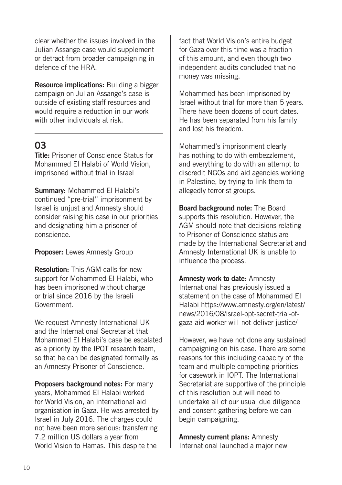clear whether the issues involved in the Julian Assange case would supplement or detract from broader campaigning in defence of the HRA.

Resource implications: Building a bigger campaign on Julian Assange's case is outside of existing staff resources and would require a reduction in our work with other individuals at risk.

#### 03

Title: Prisoner of Conscience Status for Mohammed El Halabi of World Vision, imprisoned without trial in Israel

Summary: Mohammed El Halabi's continued "pre-trial" imprisonment by Israel is unjust and Amnesty should consider raising his case in our priorities and designating him a prisoner of conscience.

Proposer: Lewes Amnesty Group

Resolution: This AGM calls for new support for Mohammed El Halabi, who has been imprisoned without charge or trial since 2016 by the Israeli Government.

We request Amnesty International UK and the International Secretariat that Mohammed El Halabi's case be escalated as a priority by the IPOT research team, so that he can be designated formally as an Amnesty Prisoner of Conscience.

Proposers background notes: For many years, Mohammed El Halabi worked for World Vision, an international aid organisation in Gaza. He was arrested by Israel in July 2016. The charges could not have been more serious: transferring 7.2 million US dollars a year from World Vision to Hamas. This despite the

fact that World Vision's entire budget for Gaza over this time was a fraction of this amount, and even though two independent audits concluded that no money was missing.

Mohammed has been imprisoned by Israel without trial for more than 5 years. There have been dozens of court dates. He has been separated from his family and lost his freedom.

Mohammed's imprisonment clearly has nothing to do with embezzlement, and everything to do with an attempt to discredit NGOs and aid agencies working in Palestine, by trying to link them to allegedly terrorist groups.

Board background note: The Board supports this resolution. However, the AGM should note that decisions relating to Prisoner of Conscience status are made by the International Secretariat and Amnesty International UK is unable to influence the process.

Amnesty work to date: Amnesty International has previously issued a statement on the case of Mohammed El Halabi https://www.amnesty.org/en/latest/ news/2016/08/israel-opt-secret-trial-ofgaza-aid-worker-will-not-deliver-justice/

However, we have not done any sustained campaigning on his case. There are some reasons for this including capacity of the team and multiple competing priorities for casework in IOPT. The International Secretariat are supportive of the principle of this resolution but will need to undertake all of our usual due diligence and consent gathering before we can begin campaigning.

Amnesty current plans: Amnesty International launched a major new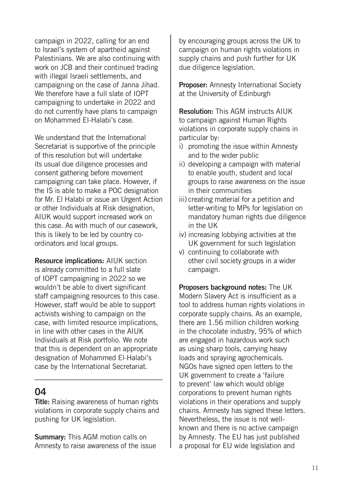campaign in 2022, calling for an end to Israel's system of apartheid against Palestinians. We are also continuing with work on JCB and their continued trading with illegal Israeli settlements, and campaigning on the case of Janna Jihad. We therefore have a full slate of IOPT campaigning to undertake in 2022 and do not currently have plans to campaign on Mohammed El-Halabi's case.

We understand that the International Secretariat is supportive of the principle of this resolution but will undertake its usual due diligence processes and consent gathering before movement campaigning can take place. However, if the IS is able to make a POC designation for Mr. El Halabi or issue an Urgent Action or other Individuals at Risk designation, AIUK would support increased work on this case. As with much of our casework, this is likely to be led by country coordinators and local groups.

Resource implications: AIUK section is already committed to a full slate of IOPT campaigning in 2022 so we wouldn't be able to divert significant staff campaigning resources to this case. However, staff would be able to support activists wishing to campaign on the case, with limited resource implications, in line with other cases in the AIUK Individuals at Risk portfolio. We note that this is dependent on an appropriate designation of Mohammed El-Halabi's case by the International Secretariat.

#### 04

**Title:** Raising awareness of human rights violations in corporate supply chains and pushing for UK legislation.

Summary: This AGM motion calls on Amnesty to raise awareness of the issue by encouraging groups across the UK to campaign on human rights violations in supply chains and push further for UK due diligence legislation.

Proposer: Amnesty International Society at the University of Edinburgh

Resolution: This AGM instructs AIUK to campaign against Human Rights violations in corporate supply chains in particular by:

- i) promoting the issue within Amnesty and to the wider public
- ii) developing a campaign with material to enable youth, student and local groups to raise awareness on the issue in their communities
- iii) creating material for a petition and letter-writing to MPs for legislation on mandatory human rights due diligence in the UK
- iv) increasing lobbying activities at the UK government for such legislation
- v) continuing to collaborate with other civil society groups in a wider campaign.

Proposers background notes: The UK Modern Slavery Act is insufficient as a tool to address human rights violations in corporate supply chains. As an example, there are 1.56 million children working in the chocolate industry, 95% of which are engaged in hazardous work such as using sharp tools, carrying heavy loads and spraying agrochemicals. NGOs have signed open letters to the UK government to create a 'failure to prevent' law which would oblige corporations to prevent human rights violations in their operations and supply chains. Amnesty has signed these letters. Nevertheless, the issue is not wellknown and there is no active campaign by Amnesty. The EU has just published a proposal for EU wide legislation and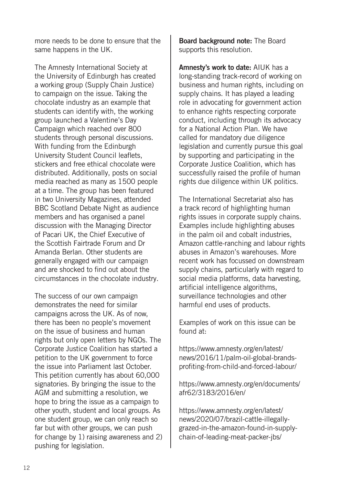more needs to be done to ensure that the same happens in the UK.

The Amnesty International Society at the University of Edinburgh has created a working group (Supply Chain Justice) to campaign on the issue. Taking the chocolate industry as an example that students can identify with, the working group launched a Valentine's Day Campaign which reached over 800 students through personal discussions. With funding from the Edinburgh University Student Council leaflets, stickers and free ethical chocolate were distributed. Additionally, posts on social media reached as many as 1500 people at a time. The group has been featured in two University Magazines, attended BBC Scotland Debate Night as audience members and has organised a panel discussion with the Managing Director of Pacari UK, the Chief Executive of the Scottish Fairtrade Forum and Dr Amanda Berlan. Other students are generally engaged with our campaign and are shocked to find out about the circumstances in the chocolate industry.

The success of our own campaign demonstrates the need for similar campaigns across the UK. As of now, there has been no people's movement on the issue of business and human rights but only open letters by NGOs. The Corporate Justice Coalition has started a petition to the UK government to force the issue into Parliament last October. This petition currently has about 60,000 signatories. By bringing the issue to the AGM and submitting a resolution, we hope to bring the issue as a campaign to other youth, student and local groups. As one student group, we can only reach so far but with other groups, we can push for change by 1) raising awareness and 2) pushing for legislation.

Board background note: The Board supports this resolution.

Amnesty's work to date: AIUK has a long-standing track-record of working on business and human rights, including on supply chains. It has played a leading role in advocating for government action to enhance rights respecting corporate conduct, including through its advocacy for a National Action Plan. We have called for mandatory due diligence legislation and currently pursue this goal by supporting and participating in the Corporate Justice Coalition, which has successfully raised the profile of human rights due diligence within UK politics.

The International Secretariat also has a track record of highlighting human rights issues in corporate supply chains. Examples include highlighting abuses in the palm oil and cobalt industries, Amazon cattle-ranching and labour rights abuses in Amazon's warehouses. More recent work has focussed on downstream supply chains, particularly with regard to social media platforms, data harvesting, artificial intelligence algorithms, surveillance technologies and other harmful end uses of products.

Examples of work on this issue can be found at:

https://www.amnesty.org/en/latest/ news/2016/11/palm-oil-global-brandsprofiting-from-child-and-forced-labour/

https://www.amnesty.org/en/documents/ afr62/3183/2016/en/

https://www.amnesty.org/en/latest/ news/2020/07/brazil-cattle-illegallygrazed-in-the-amazon-found-in-supplychain-of-leading-meat-packer-jbs/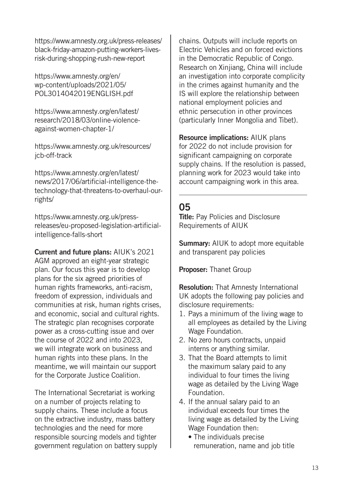https://www.amnesty.org.uk/press-releases/ black-friday-amazon-putting-workers-livesrisk-during-shopping-rush-new-report

https://www.amnesty.org/en/ wp-content/uploads/2021/05/ POL3014042019ENGLISH.pdf

https://www.amnesty.org/en/latest/ research/2018/03/online-violenceagainst-women-chapter-1/

https://www.amnesty.org.uk/resources/ jcb-off-track

https://www.amnesty.org/en/latest/ news/2017/06/artificial-intelligence-thetechnology-that-threatens-to-overhaul-ourrights/

https://www.amnesty.org.uk/pressreleases/eu-proposed-legislation-artificialintelligence-falls-short

Current and future plans: AIUK's 2021 AGM approved an eight-year strategic plan. Our focus this year is to develop plans for the six agreed priorities of human rights frameworks, anti-racism, freedom of expression, individuals and communities at risk, human rights crises, and economic, social and cultural rights. The strategic plan recognises corporate power as a cross-cutting issue and over the course of 2022 and into 2023, we will integrate work on business and human rights into these plans. In the meantime, we will maintain our support for the Corporate Justice Coalition.

The International Secretariat is working on a number of projects relating to supply chains. These include a focus on the extractive industry, mass battery technologies and the need for more responsible sourcing models and tighter government regulation on battery supply chains. Outputs will include reports on Electric Vehicles and on forced evictions in the Democratic Republic of Congo. Research on Xinjiang, China will include an investigation into corporate complicity in the crimes against humanity and the IS will explore the relationship between national employment policies and ethnic persecution in other provinces (particularly Inner Mongolia and Tibet).

Resource implications: AIUK plans for 2022 do not include provision for significant campaigning on corporate supply chains. If the resolution is passed, planning work for 2023 would take into account campaigning work in this area.

#### 05

**Title:** Pay Policies and Disclosure Requirements of AIUK

Summary: AIUK to adopt more equitable and transparent pay policies

Proposer: Thanet Group

Resolution: That Amnesty International UK adopts the following pay policies and disclosure requirements:

- 1. Pays a minimum of the living wage to all employees as detailed by the Living Wage Foundation.
- 2. No zero hours contracts, unpaid interns or anything similar.
- 3. That the Board attempts to limit the maximum salary paid to any individual to four times the living wage as detailed by the Living Wage Foundation.
- 4. If the annual salary paid to an individual exceeds four times the living wage as detailed by the Living Wage Foundation then:
	- The individuals precise remuneration, name and job title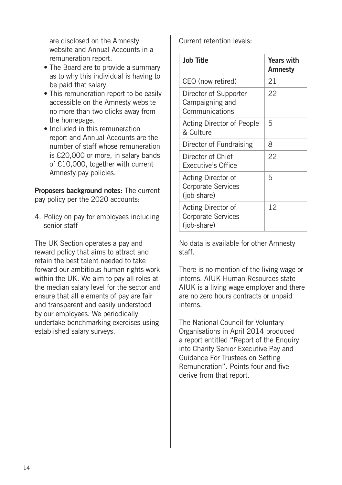are disclosed on the Amnesty website and Annual Accounts in a remuneration report.

- The Board are to provide a summary as to why this individual is having to be paid that salary.
- This remuneration report to be easily accessible on the Amnesty website no more than two clicks away from the homepage.
- Included in this remuneration report and Annual Accounts are the number of staff whose remuneration is £20,000 or more, in salary bands of £10,000, together with current Amnesty pay policies.

Proposers background notes: The current pay policy per the 2020 accounts:

4. Policy on pay for employees including senior staff

The UK Section operates a pay and reward policy that aims to attract and retain the best talent needed to take forward our ambitious human rights work within the UK. We aim to pay all roles at the median salary level for the sector and ensure that all elements of pay are fair and transparent and easily understood by our employees. We periodically undertake benchmarking exercises using established salary surveys.

Current retention levels:

| <b>Job Title</b>                                               | <b>Years with</b><br>Amnesty |
|----------------------------------------------------------------|------------------------------|
| CEO (now retired)                                              | 21                           |
| Director of Supporter<br>Campaigning and<br>Communications     | 22                           |
| Acting Director of People<br>& Culture                         | 5                            |
| Director of Fundraising                                        | 8                            |
| Director of Chief<br>Executive's Office                        | 22                           |
| Acting Director of<br><b>Corporate Services</b><br>(job-share) | 5                            |
| Acting Director of<br><b>Corporate Services</b><br>(job-share) | 12                           |

No data is available for other Amnesty staff.

There is no mention of the living wage or interns. AIUK Human Resources state AIUK is a living wage employer and there are no zero hours contracts or unpaid interns.

The National Council for Voluntary Organisations in April 2014 produced a report entitled "Report of the Enquiry into Charity Senior Executive Pay and Guidance For Trustees on Setting Remuneration". Points four and five derive from that report.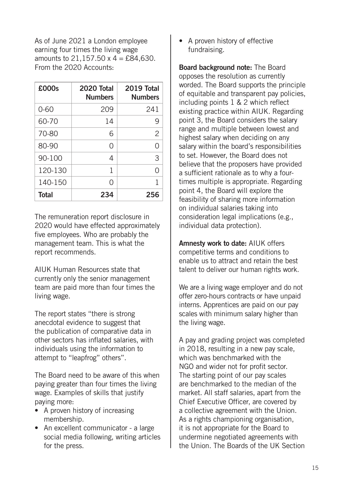As of June 2021 a London employee earning four times the living wage amounts to  $21.157.50 \times 4 = £84.630$ . From the 2020 Accounts:

| £000s        | 2020 Total<br><b>Numbers</b> | 2019 Total<br><b>Numbers</b> |
|--------------|------------------------------|------------------------------|
| $0 - 60$     | 209                          | 241                          |
| 60-70        | 14                           | 9                            |
| 70-80        | 6                            | $\overline{2}$               |
| 80-90        | ∩                            | ∩                            |
| 90-100       | 4                            | 3                            |
| 120-130      | 1                            | Ω                            |
| 140-150      | ∩                            | 1                            |
| <b>Total</b> | 234                          | 256                          |

The remuneration report disclosure in 2020 would have effected approximately five employees. Who are probably the management team. This is what the report recommends.

AIUK Human Resources state that currently only the senior management team are paid more than four times the living wage.

The report states "there is strong anecdotal evidence to suggest that the publication of comparative data in other sectors has inflated salaries, with individuals using the information to attempt to "leapfrog" others".

The Board need to be aware of this when paying greater than four times the living wage. Examples of skills that justify paying more:

- A proven history of increasing membership.
- An excellent communicator a large social media following, writing articles for the press.

• A proven history of effective fundraising.

Board background note: The Board opposes the resolution as currently worded. The Board supports the principle of equitable and transparent pay policies, including points 1 & 2 which reflect existing practice within AIUK. Regarding point 3, the Board considers the salary range and multiple between lowest and highest salary when deciding on any salary within the board's responsibilities to set. However, the Board does not believe that the proposers have provided a sufficient rationale as to why a fourtimes multiple is appropriate. Regarding point 4, the Board will explore the feasibility of sharing more information on individual salaries taking into consideration legal implications (e.g., individual data protection).

Amnesty work to date: AIUK offers competitive terms and conditions to enable us to attract and retain the best talent to deliver our human rights work.

We are a living wage employer and do not offer zero-hours contracts or have unpaid interns. Apprentices are paid on our pay scales with minimum salary higher than the living wage.

A pay and grading project was completed in 2018, resulting in a new pay scale, which was benchmarked with the NGO and wider not for profit sector. The starting point of our pay scales are benchmarked to the median of the market. All staff salaries, apart from the Chief Executive Officer, are covered by a collective agreement with the Union. As a rights championing organisation, it is not appropriate for the Board to undermine negotiated agreements with the Union. The Boards of the UK Section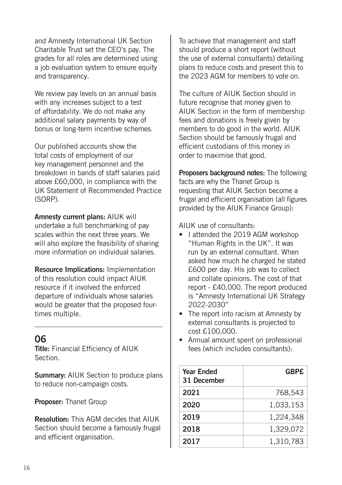and Amnesty International UK Section Charitable Trust set the CEO's pay. The grades for all roles are determined using a job evaluation system to ensure equity and transparency.

We review pay levels on an annual basis with any increases subject to a test of affordability. We do not make any additional salary payments by way of bonus or long-term incentive schemes.

Our published accounts show the total costs of employment of our key management personnel and the breakdown in bands of staff salaries paid above £60,000, in compliance with the UK Statement of Recommended Practice (SORP).

Amnesty current plans: AIUK will undertake a full benchmarking of pay scales within the next three years. We will also explore the feasibility of sharing more information on individual salaries.

Resource Implications: Implementation of this resolution could impact AIUK resource if it involved the enforced departure of individuals whose salaries would be greater that the proposed fourtimes multiple.

#### 06

Title: Financial Efficiency of AIUK Section.

**Summary:** AIUK Section to produce plans to reduce non-campaign costs.

Proposer: Thanet Group

Resolution: This AGM decides that AIUK Section should become a famously frugal and efficient organisation.

To achieve that management and staff should produce a short report (without the use of external consultants) detailing plans to reduce costs and present this to the 2023 AGM for members to vote on.

The culture of AIUK Section should in future recognise that money given to AIUK Section in the form of membership fees and donations is freely given by members to do good in the world. AIUK Section should be famously frugal and efficient custodians of this money in order to maximise that good.

Proposers background notes: The following facts are why the Thanet Group is requesting that AIUK Section become a frugal and efficient organisation (all figures provided by the AIUK Finance Group):

AIUK use of consultants:

- Lattended the 2019 AGM workshop "Human Rights in the UK". It was run by an external consultant. When asked how much he charged he stated £600 per day. His job was to collect and collate opinions. The cost of that report - £40,000. The report produced is "Amnesty International UK Strategy 2022-2030"
- The report into racism at Amnesty by external consultants is projected to cost £100,000.
- Annual amount spent on professional fees (which includes consultants):

| <b>Year Ended</b><br>31 December | <b>GBP£</b> |
|----------------------------------|-------------|
| 2021                             | 768,543     |
| 2020                             | 1,033,153   |
| 2019                             | 1.224.348   |
| 2018                             | 1,329,072   |
| 2017                             | 1,310,783   |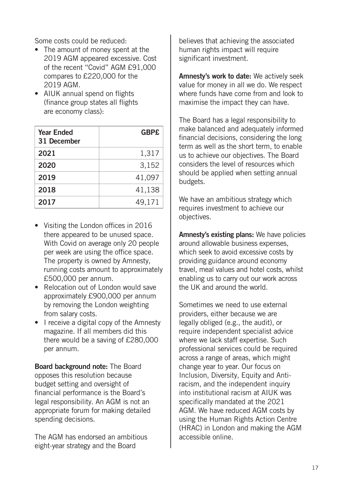Some costs could be reduced:

- The amount of money spent at the 2019 AGM appeared excessive. Cost of the recent "Covid" AGM £91,000 compares to £220,000 for the 2019 AGM.
- AIUK annual spend on flights (finance group states all flights are economy class):

| <b>Year Ended</b><br>31 December | <b>GBP£</b> |
|----------------------------------|-------------|
| 2021                             | 1,317       |
| 2020                             | 3,152       |
| 2019                             | 41,097      |
| 2018                             | 41,138      |
| 2017                             | 49,171      |

- Visiting the London offices in 2016 there appeared to be unused space. With Covid on average only 20 people per week are using the office space. The property is owned by Amnesty, running costs amount to approximately £500,000 per annum.
- Relocation out of London would save approximately £900,000 per annum by removing the London weighting from salary costs.
- I receive a digital copy of the Amnesty magazine. If all members did this there would be a saving of £280,000 per annum.

Board background note: The Board opposes this resolution because budget setting and oversight of financial performance is the Board's legal responsibility. An AGM is not an appropriate forum for making detailed spending decisions.

The AGM has endorsed an ambitious eight-year strategy and the Board

believes that achieving the associated human rights impact will require significant investment.

Amnesty's work to date: We actively seek value for money in all we do. We respect where funds have come from and look to maximise the impact they can have.

The Board has a legal responsibility to make balanced and adequately informed financial decisions, considering the long term as well as the short term, to enable us to achieve our objectives. The Board considers the level of resources which should be applied when setting annual budgets.

We have an ambitious strategy which requires investment to achieve our objectives.

Amnesty's existing plans: We have policies around allowable business expenses, which seek to avoid excessive costs by providing guidance around economy travel, meal values and hotel costs, whilst enabling us to carry out our work across the UK and around the world.

Sometimes we need to use external providers, either because we are legally obliged (e.g., the audit), or require independent specialist advice where we lack staff expertise. Such professional services could be required across a range of areas, which might change year to year. Our focus on Inclusion, Diversity, Equity and Antiracism, and the independent inquiry into institutional racism at AIUK was specifically mandated at the 2021 AGM. We have reduced AGM costs by using the Human Rights Action Centre (HRAC) in London and making the AGM accessible online.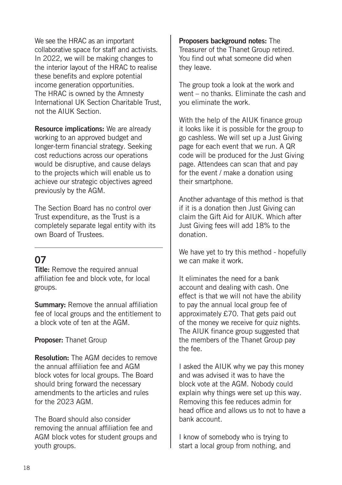We see the HRAC as an important collaborative space for staff and activists. In 2022, we will be making changes to the interior layout of the HRAC to realise these benefits and explore potential income generation opportunities. The HRAC is owned by the Amnesty International UK Section Charitable Trust, not the AIUK Section.

Resource implications: We are already working to an approved budget and longer-term financial strategy. Seeking cost reductions across our operations would be disruptive, and cause delays to the projects which will enable us to achieve our strategic objectives agreed previously by the AGM.

The Section Board has no control over Trust expenditure, as the Trust is a completely separate legal entity with its own Board of Trustees.

#### 07

**Title:** Remove the required annual affiliation fee and block vote, for local groups.

**Summary:** Remove the annual affiliation fee of local groups and the entitlement to a block vote of ten at the AGM.

Proposer: Thanet Group

Resolution: The AGM decides to remove the annual affiliation fee and AGM block votes for local groups. The Board should bring forward the necessary amendments to the articles and rules for the 2023 AGM.

The Board should also consider removing the annual affiliation fee and AGM block votes for student groups and youth groups.

Proposers background notes: The Treasurer of the Thanet Group retired. You find out what someone did when they leave.

The group took a look at the work and went – no thanks. Eliminate the cash and you eliminate the work.

With the help of the AIUK finance group it looks like it is possible for the group to go cashless. We will set up a Just Giving page for each event that we run. A QR code will be produced for the Just Giving page. Attendees can scan that and pay for the event / make a donation using their smartphone.

Another advantage of this method is that if it is a donation then Just Giving can claim the Gift Aid for AIUK. Which after Just Giving fees will add 18% to the donation.

We have yet to try this method - hopefully we can make it work.

It eliminates the need for a bank account and dealing with cash. One effect is that we will not have the ability to pay the annual local group fee of approximately £70. That gets paid out of the money we receive for quiz nights. The AIUK finance group suggested that the members of the Thanet Group pay the fee.

I asked the AIUK why we pay this money and was advised it was to have the block vote at the AGM. Nobody could explain why things were set up this way. Removing this fee reduces admin for head office and allows us to not to have a bank account.

I know of somebody who is trying to start a local group from nothing, and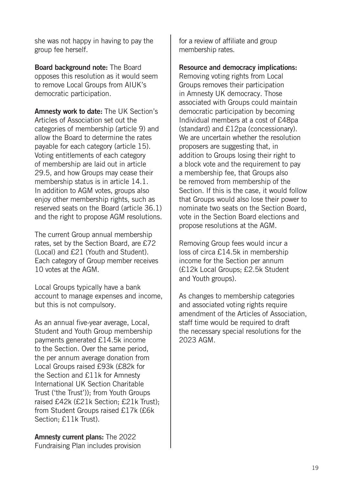she was not happy in having to pay the group fee herself.

Board background note: The Board opposes this resolution as it would seem to remove Local Groups from AIUK's democratic participation.

Amnesty work to date: The UK Section's Articles of Association set out the categories of membership (article 9) and allow the Board to determine the rates payable for each category (article 15). Voting entitlements of each category of membership are laid out in article 29.5, and how Groups may cease their membership status is in article 14.1. In addition to AGM votes, groups also enjoy other membership rights, such as reserved seats on the Board (article 36.1) and the right to propose AGM resolutions.

The current Group annual membership rates, set by the Section Board, are £72 (Local) and £21 (Youth and Student). Each category of Group member receives 10 votes at the AGM.

Local Groups typically have a bank account to manage expenses and income, but this is not compulsory.

As an annual five-year average, Local, Student and Youth Group membership payments generated £14.5k income to the Section. Over the same period, the per annum average donation from Local Groups raised £93k (£82k for the Section and £11k for Amnesty International UK Section Charitable Trust ('the Trust')); from Youth Groups raised £42k (£21k Section; £21k Trust); from Student Groups raised £17k (£6k Section; £11k Trust).

Amnesty current plans: The 2022 Fundraising Plan includes provision for a review of affiliate and group membership rates.

Resource and democracy implications:

Removing voting rights from Local Groups removes their participation in Amnesty UK democracy. Those associated with Groups could maintain democratic participation by becoming Individual members at a cost of £48pa (standard) and £12pa (concessionary). We are uncertain whether the resolution proposers are suggesting that, in addition to Groups losing their right to a block vote and the requirement to pay a membership fee, that Groups also be removed from membership of the Section. If this is the case, it would follow that Groups would also lose their power to nominate two seats on the Section Board, vote in the Section Board elections and propose resolutions at the AGM.

Removing Group fees would incur a loss of circa £14.5k in membership income for the Section per annum (£12k Local Groups; £2.5k Student and Youth groups).

As changes to membership categories and associated voting rights require amendment of the Articles of Association, staff time would be required to draft the necessary special resolutions for the 2023 AGM.